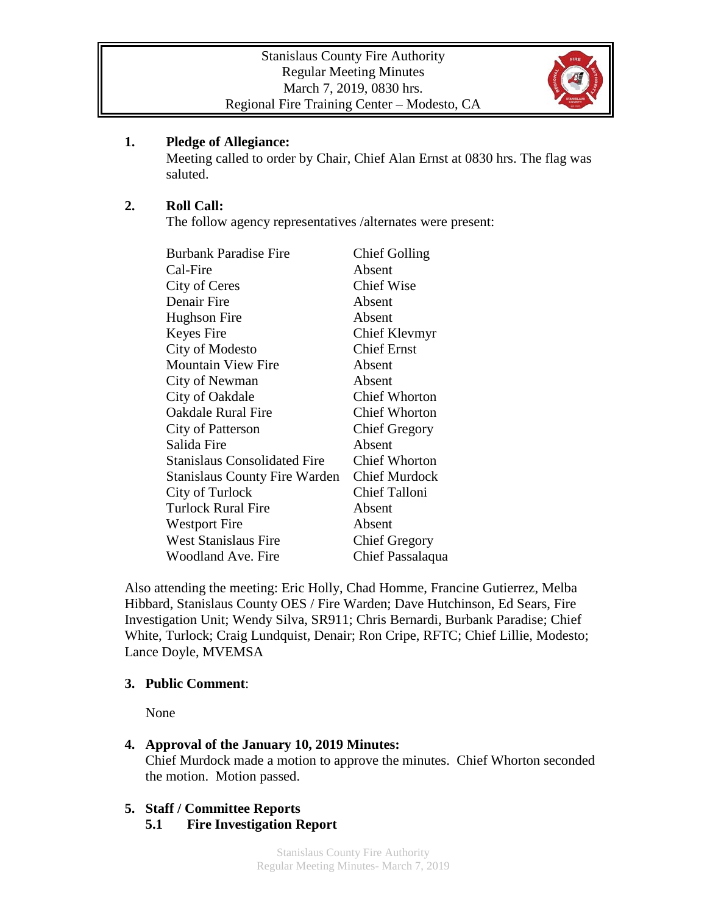

## **1. Pledge of Allegiance:**

Meeting called to order by Chair, Chief Alan Ernst at 0830 hrs. The flag was saluted.

## **2. Roll Call:**

The follow agency representatives /alternates were present:

| <b>Burbank Paradise Fire</b>        | <b>Chief Golling</b> |
|-------------------------------------|----------------------|
| Cal-Fire                            | Absent               |
| City of Ceres                       | <b>Chief Wise</b>    |
| Denair Fire                         | Absent               |
| Hughson Fire                        | Absent               |
| Keyes Fire                          | Chief Klevmyr        |
| City of Modesto                     | <b>Chief Ernst</b>   |
| <b>Mountain View Fire</b>           | Absent               |
| City of Newman                      | Absent               |
| City of Oakdale                     | <b>Chief Whorton</b> |
| <b>Oakdale Rural Fire</b>           | <b>Chief Whorton</b> |
| City of Patterson                   | <b>Chief Gregory</b> |
| Salida Fire                         | Absent               |
| <b>Stanislaus Consolidated Fire</b> | <b>Chief Whorton</b> |
| Stanislaus County Fire Warden       | <b>Chief Murdock</b> |
| City of Turlock                     | <b>Chief Talloni</b> |
| <b>Turlock Rural Fire</b>           | Absent               |
| <b>Westport Fire</b>                | Absent               |
| <b>West Stanislaus Fire</b>         | <b>Chief Gregory</b> |
| Woodland Ave. Fire                  | Chief Passalaqua     |

Also attending the meeting: Eric Holly, Chad Homme, Francine Gutierrez, Melba Hibbard, Stanislaus County OES / Fire Warden; Dave Hutchinson, Ed Sears, Fire Investigation Unit; Wendy Silva, SR911; Chris Bernardi, Burbank Paradise; Chief White, Turlock; Craig Lundquist, Denair; Ron Cripe, RFTC; Chief Lillie, Modesto; Lance Doyle, MVEMSA

### **3. Public Comment**:

None

# **4. Approval of the January 10, 2019 Minutes:**

Chief Murdock made a motion to approve the minutes. Chief Whorton seconded the motion. Motion passed.

# **5. Staff / Committee Reports**

**5.1 Fire Investigation Report**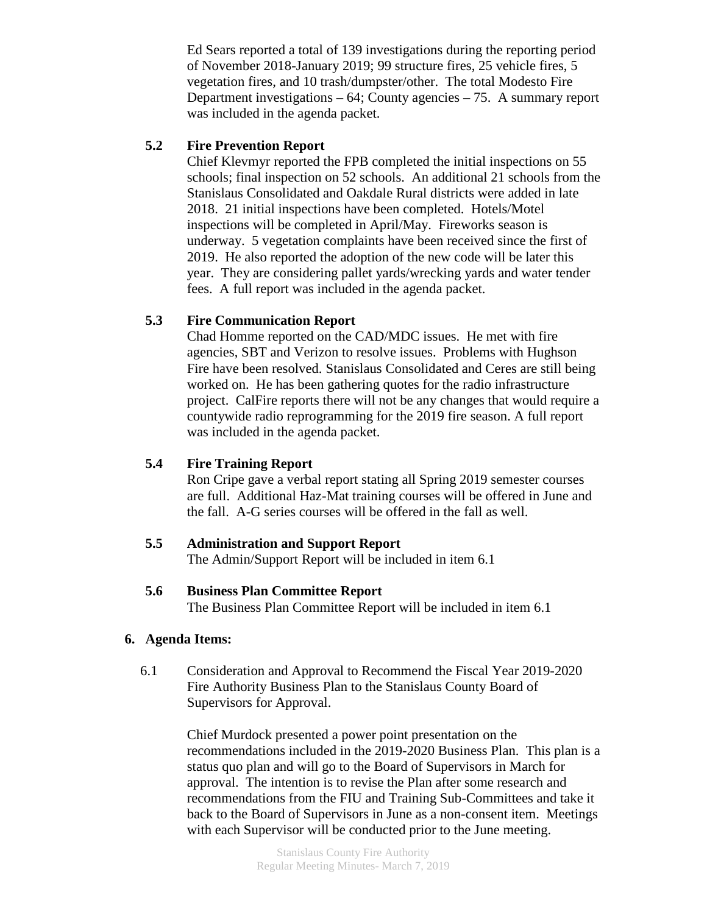Ed Sears reported a total of 139 investigations during the reporting period of November 2018-January 2019; 99 structure fires, 25 vehicle fires, 5 vegetation fires, and 10 trash/dumpster/other. The total Modesto Fire Department investigations – 64; County agencies – 75. A summary report was included in the agenda packet.

### **5.2 Fire Prevention Report**

Chief Klevmyr reported the FPB completed the initial inspections on 55 schools; final inspection on 52 schools. An additional 21 schools from the Stanislaus Consolidated and Oakdale Rural districts were added in late 2018. 21 initial inspections have been completed. Hotels/Motel inspections will be completed in April/May. Fireworks season is underway. 5 vegetation complaints have been received since the first of 2019. He also reported the adoption of the new code will be later this year. They are considering pallet yards/wrecking yards and water tender fees. A full report was included in the agenda packet.

#### **5.3 Fire Communication Report**

Chad Homme reported on the CAD/MDC issues. He met with fire agencies, SBT and Verizon to resolve issues. Problems with Hughson Fire have been resolved. Stanislaus Consolidated and Ceres are still being worked on. He has been gathering quotes for the radio infrastructure project. CalFire reports there will not be any changes that would require a countywide radio reprogramming for the 2019 fire season. A full report was included in the agenda packet.

#### **5.4 Fire Training Report**

Ron Cripe gave a verbal report stating all Spring 2019 semester courses are full. Additional Haz-Mat training courses will be offered in June and the fall. A-G series courses will be offered in the fall as well.

#### **5.5 Administration and Support Report**

The Admin/Support Report will be included in item 6.1

#### **5.6 Business Plan Committee Report**

The Business Plan Committee Report will be included in item 6.1

#### **6. Agenda Items:**

6.1 Consideration and Approval to Recommend the Fiscal Year 2019-2020 Fire Authority Business Plan to the Stanislaus County Board of Supervisors for Approval.

> Chief Murdock presented a power point presentation on the recommendations included in the 2019-2020 Business Plan. This plan is a status quo plan and will go to the Board of Supervisors in March for approval. The intention is to revise the Plan after some research and recommendations from the FIU and Training Sub-Committees and take it back to the Board of Supervisors in June as a non-consent item. Meetings with each Supervisor will be conducted prior to the June meeting.